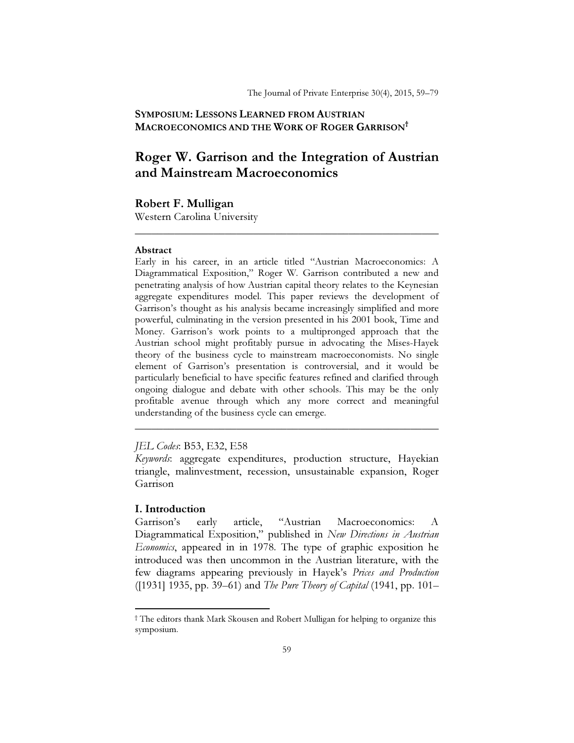## SYMPOSIUM: LESSONS LEARNED FROM AUSTRIAN MACROECONOMICS AND THE WORK OF ROGER GARRISON†

# Roger W. Garrison and the Integration of Austrian and Mainstream Macroeconomics

\_\_\_\_\_\_\_\_\_\_\_\_\_\_\_\_\_\_\_\_\_\_\_\_\_\_\_\_\_\_\_\_\_\_\_\_\_\_\_\_\_\_\_\_\_\_\_\_\_\_\_\_\_\_

# Robert F. Mulligan

Western Carolina University

#### Abstract

Early in his career, in an article titled "Austrian Macroeconomics: A Diagrammatical Exposition," Roger W. Garrison contributed a new and penetrating analysis of how Austrian capital theory relates to the Keynesian aggregate expenditures model. This paper reviews the development of Garrison's thought as his analysis became increasingly simplified and more powerful, culminating in the version presented in his 2001 book, Time and Money. Garrison's work points to a multipronged approach that the Austrian school might profitably pursue in advocating the Mises-Hayek theory of the business cycle to mainstream macroeconomists. No single element of Garrison's presentation is controversial, and it would be particularly beneficial to have specific features refined and clarified through ongoing dialogue and debate with other schools. This may be the only profitable avenue through which any more correct and meaningful understanding of the business cycle can emerge.

### JEL Codes: B53, E32, E58

Keywords: aggregate expenditures, production structure, Hayekian triangle, malinvestment, recession, unsustainable expansion, Roger Garrison

\_\_\_\_\_\_\_\_\_\_\_\_\_\_\_\_\_\_\_\_\_\_\_\_\_\_\_\_\_\_\_\_\_\_\_\_\_\_\_\_\_\_\_\_\_\_\_\_\_\_\_\_\_\_

# I. Introduction

 $\overline{a}$ 

Garrison's early article, "Austrian Macroeconomics: A Diagrammatical Exposition," published in New Directions in Austrian Economics, appeared in in 1978. The type of graphic exposition he introduced was then uncommon in the Austrian literature, with the few diagrams appearing previously in Hayek's Prices and Production ([1931] 1935, pp. 39–61) and The Pure Theory of Capital (1941, pp. 101–

<sup>†</sup> The editors thank Mark Skousen and Robert Mulligan for helping to organize this symposium.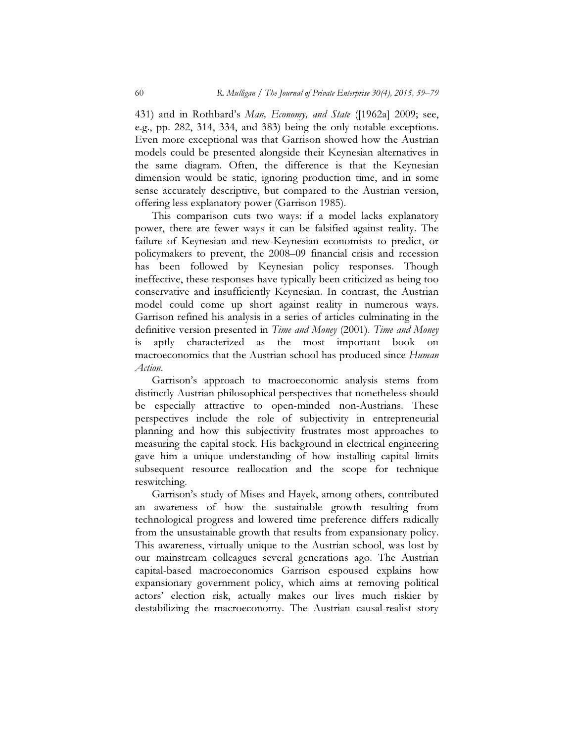431) and in Rothbard's Man, Economy, and State ([1962a] 2009; see, e.g., pp. 282, 314, 334, and 383) being the only notable exceptions. Even more exceptional was that Garrison showed how the Austrian models could be presented alongside their Keynesian alternatives in the same diagram. Often, the difference is that the Keynesian dimension would be static, ignoring production time, and in some sense accurately descriptive, but compared to the Austrian version, offering less explanatory power (Garrison 1985).

This comparison cuts two ways: if a model lacks explanatory power, there are fewer ways it can be falsified against reality. The failure of Keynesian and new-Keynesian economists to predict, or policymakers to prevent, the 2008–09 financial crisis and recession has been followed by Keynesian policy responses. Though ineffective, these responses have typically been criticized as being too conservative and insufficiently Keynesian. In contrast, the Austrian model could come up short against reality in numerous ways. Garrison refined his analysis in a series of articles culminating in the definitive version presented in Time and Money (2001). Time and Money is aptly characterized as the most important book on macroeconomics that the Austrian school has produced since Human Action.

Garrison's approach to macroeconomic analysis stems from distinctly Austrian philosophical perspectives that nonetheless should be especially attractive to open-minded non-Austrians. These perspectives include the role of subjectivity in entrepreneurial planning and how this subjectivity frustrates most approaches to measuring the capital stock. His background in electrical engineering gave him a unique understanding of how installing capital limits subsequent resource reallocation and the scope for technique reswitching.

Garrison's study of Mises and Hayek, among others, contributed an awareness of how the sustainable growth resulting from technological progress and lowered time preference differs radically from the unsustainable growth that results from expansionary policy. This awareness, virtually unique to the Austrian school, was lost by our mainstream colleagues several generations ago. The Austrian capital-based macroeconomics Garrison espoused explains how expansionary government policy, which aims at removing political actors' election risk, actually makes our lives much riskier by destabilizing the macroeconomy. The Austrian causal-realist story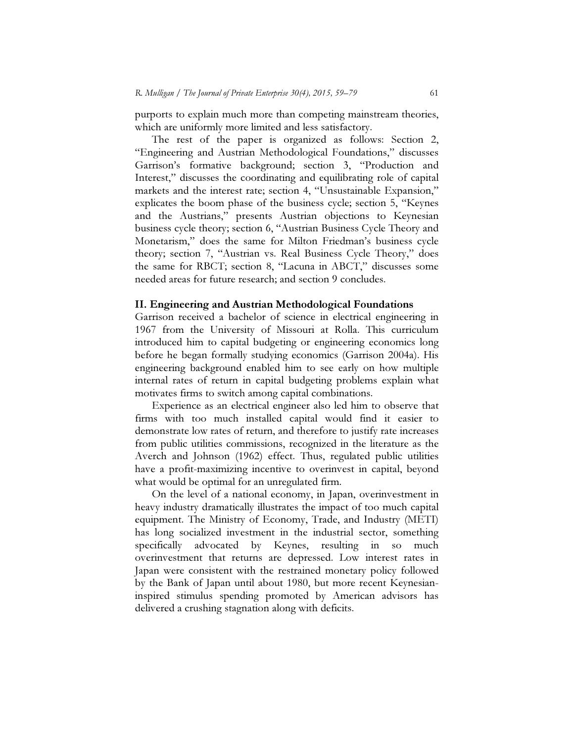purports to explain much more than competing mainstream theories, which are uniformly more limited and less satisfactory.

The rest of the paper is organized as follows: Section 2, "Engineering and Austrian Methodological Foundations," discusses Garrison's formative background; section 3, "Production and Interest," discusses the coordinating and equilibrating role of capital markets and the interest rate; section 4, "Unsustainable Expansion," explicates the boom phase of the business cycle; section 5, "Keynes and the Austrians," presents Austrian objections to Keynesian business cycle theory; section 6, "Austrian Business Cycle Theory and Monetarism," does the same for Milton Friedman's business cycle theory; section 7, "Austrian vs. Real Business Cycle Theory," does the same for RBCT; section 8, "Lacuna in ABCT," discusses some needed areas for future research; and section 9 concludes.

#### II. Engineering and Austrian Methodological Foundations

Garrison received a bachelor of science in electrical engineering in 1967 from the University of Missouri at Rolla. This curriculum introduced him to capital budgeting or engineering economics long before he began formally studying economics (Garrison 2004a). His engineering background enabled him to see early on how multiple internal rates of return in capital budgeting problems explain what motivates firms to switch among capital combinations.

Experience as an electrical engineer also led him to observe that firms with too much installed capital would find it easier to demonstrate low rates of return, and therefore to justify rate increases from public utilities commissions, recognized in the literature as the Averch and Johnson (1962) effect. Thus, regulated public utilities have a profit-maximizing incentive to overinvest in capital, beyond what would be optimal for an unregulated firm.

On the level of a national economy, in Japan, overinvestment in heavy industry dramatically illustrates the impact of too much capital equipment. The Ministry of Economy, Trade, and Industry (METI) has long socialized investment in the industrial sector, something specifically advocated by Keynes, resulting in so much overinvestment that returns are depressed. Low interest rates in Japan were consistent with the restrained monetary policy followed by the Bank of Japan until about 1980, but more recent Keynesianinspired stimulus spending promoted by American advisors has delivered a crushing stagnation along with deficits.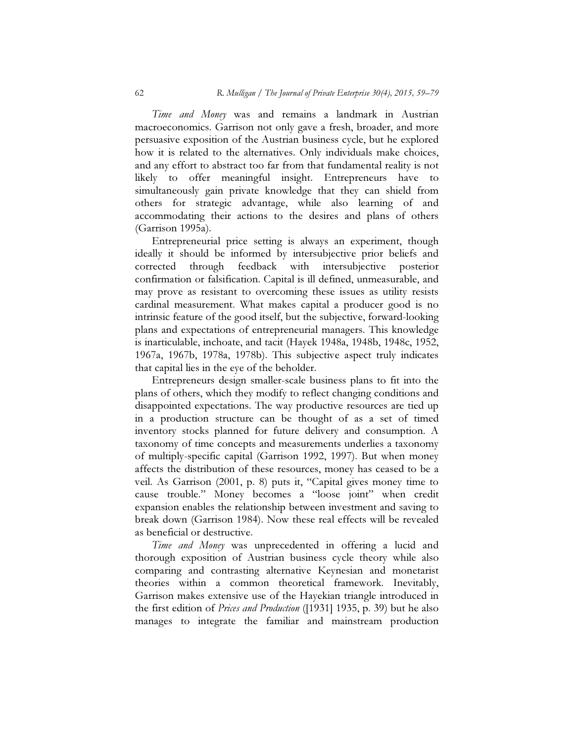Time and Money was and remains a landmark in Austrian macroeconomics. Garrison not only gave a fresh, broader, and more persuasive exposition of the Austrian business cycle, but he explored how it is related to the alternatives. Only individuals make choices, and any effort to abstract too far from that fundamental reality is not likely to offer meaningful insight. Entrepreneurs have to simultaneously gain private knowledge that they can shield from others for strategic advantage, while also learning of and accommodating their actions to the desires and plans of others (Garrison 1995a).

Entrepreneurial price setting is always an experiment, though ideally it should be informed by intersubjective prior beliefs and corrected through feedback with intersubjective posterior confirmation or falsification. Capital is ill defined, unmeasurable, and may prove as resistant to overcoming these issues as utility resists cardinal measurement. What makes capital a producer good is no intrinsic feature of the good itself, but the subjective, forward-looking plans and expectations of entrepreneurial managers. This knowledge is inarticulable, inchoate, and tacit (Hayek 1948a, 1948b, 1948c, 1952, 1967a, 1967b, 1978a, 1978b). This subjective aspect truly indicates that capital lies in the eye of the beholder.

Entrepreneurs design smaller-scale business plans to fit into the plans of others, which they modify to reflect changing conditions and disappointed expectations. The way productive resources are tied up in a production structure can be thought of as a set of timed inventory stocks planned for future delivery and consumption. A taxonomy of time concepts and measurements underlies a taxonomy of multiply-specific capital (Garrison 1992, 1997). But when money affects the distribution of these resources, money has ceased to be a veil. As Garrison (2001, p. 8) puts it, "Capital gives money time to cause trouble." Money becomes a "loose joint" when credit expansion enables the relationship between investment and saving to break down (Garrison 1984). Now these real effects will be revealed as beneficial or destructive.

Time and Money was unprecedented in offering a lucid and thorough exposition of Austrian business cycle theory while also comparing and contrasting alternative Keynesian and monetarist theories within a common theoretical framework. Inevitably, Garrison makes extensive use of the Hayekian triangle introduced in the first edition of Prices and Production ([1931] 1935, p. 39) but he also manages to integrate the familiar and mainstream production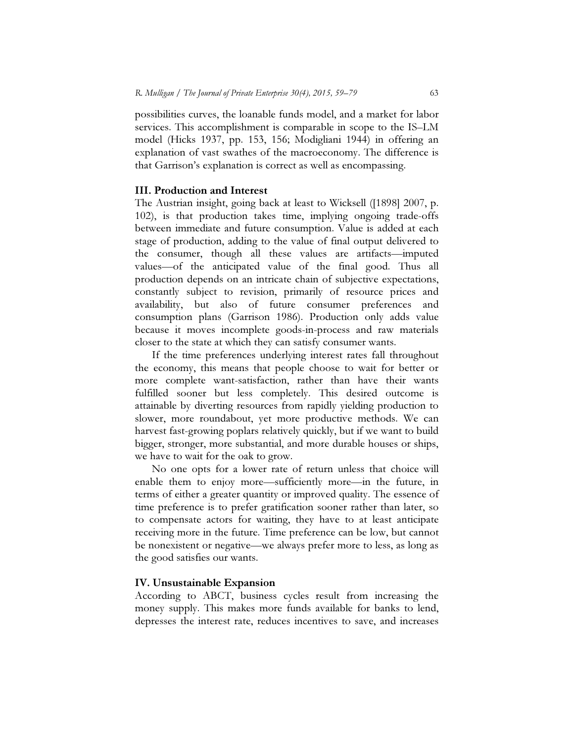possibilities curves, the loanable funds model, and a market for labor services. This accomplishment is comparable in scope to the IS–LM model (Hicks 1937, pp. 153, 156; Modigliani 1944) in offering an explanation of vast swathes of the macroeconomy. The difference is that Garrison's explanation is correct as well as encompassing.

### III. Production and Interest

The Austrian insight, going back at least to Wicksell ([1898] 2007, p. 102), is that production takes time, implying ongoing trade-offs between immediate and future consumption. Value is added at each stage of production, adding to the value of final output delivered to the consumer, though all these values are artifacts—imputed values—of the anticipated value of the final good. Thus all production depends on an intricate chain of subjective expectations, constantly subject to revision, primarily of resource prices and availability, but also of future consumer preferences and consumption plans (Garrison 1986). Production only adds value because it moves incomplete goods-in-process and raw materials closer to the state at which they can satisfy consumer wants.

If the time preferences underlying interest rates fall throughout the economy, this means that people choose to wait for better or more complete want-satisfaction, rather than have their wants fulfilled sooner but less completely. This desired outcome is attainable by diverting resources from rapidly yielding production to slower, more roundabout, yet more productive methods. We can harvest fast-growing poplars relatively quickly, but if we want to build bigger, stronger, more substantial, and more durable houses or ships, we have to wait for the oak to grow.

No one opts for a lower rate of return unless that choice will enable them to enjoy more—sufficiently more—in the future, in terms of either a greater quantity or improved quality. The essence of time preference is to prefer gratification sooner rather than later, so to compensate actors for waiting, they have to at least anticipate receiving more in the future. Time preference can be low, but cannot be nonexistent or negative—we always prefer more to less, as long as the good satisfies our wants.

#### IV. Unsustainable Expansion

According to ABCT, business cycles result from increasing the money supply. This makes more funds available for banks to lend, depresses the interest rate, reduces incentives to save, and increases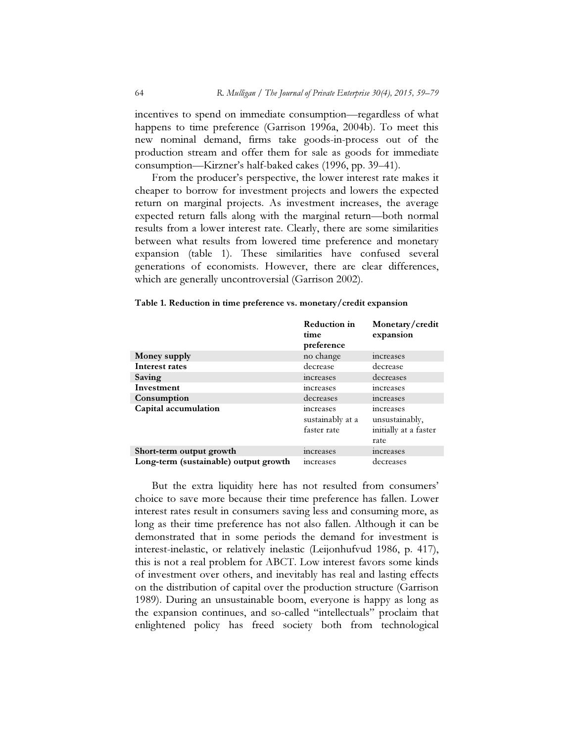incentives to spend on immediate consumption—regardless of what happens to time preference (Garrison 1996a, 2004b). To meet this new nominal demand, firms take goods-in-process out of the production stream and offer them for sale as goods for immediate consumption—Kirzner's half-baked cakes (1996, pp. 39–41).

From the producer's perspective, the lower interest rate makes it cheaper to borrow for investment projects and lowers the expected return on marginal projects. As investment increases, the average expected return falls along with the marginal return—both normal results from a lower interest rate. Clearly, there are some similarities between what results from lowered time preference and monetary expansion (table 1). These similarities have confused several generations of economists. However, there are clear differences, which are generally uncontroversial (Garrison 2002).

|                                       | <b>Reduction in</b><br>time<br>preference            | Monetary/credit<br>expansion                                 |
|---------------------------------------|------------------------------------------------------|--------------------------------------------------------------|
| Money supply                          | no change                                            | <i>increases</i>                                             |
| Interest rates                        | decrease                                             | decrease                                                     |
| Saving                                | increases                                            | decreases                                                    |
| Investment                            | increases                                            | increases                                                    |
| Consumption                           | decreases                                            | increases                                                    |
| Capital accumulation                  | <i>s</i> ncreases<br>sustainably at a<br>faster rate | increases<br>unsustainably,<br>initially at a faster<br>rate |
| Short-term output growth              | increases                                            | increases                                                    |
| Long-term (sustainable) output growth | <i>s</i> cheduceases                                 | decreases                                                    |

Table 1. Reduction in time preference vs. monetary/credit expansion

But the extra liquidity here has not resulted from consumers' choice to save more because their time preference has fallen. Lower interest rates result in consumers saving less and consuming more, as long as their time preference has not also fallen. Although it can be demonstrated that in some periods the demand for investment is interest-inelastic, or relatively inelastic (Leijonhufvud 1986, p. 417), this is not a real problem for ABCT. Low interest favors some kinds of investment over others, and inevitably has real and lasting effects on the distribution of capital over the production structure (Garrison 1989). During an unsustainable boom, everyone is happy as long as the expansion continues, and so-called "intellectuals" proclaim that enlightened policy has freed society both from technological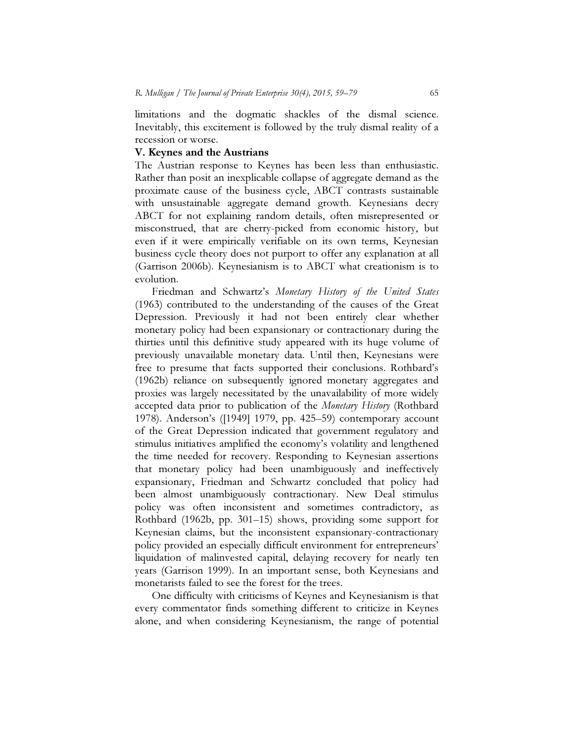limitations and the dogmatic shackles of the dismal science. Inevitably, this excitement is followed by the truly dismal reality of a recession or worse.

#### V. Keynes and the Austrians

The Austrian response to Keynes has been less than enthusiastic. Rather than posit an inexplicable collapse of aggregate demand as the proximate cause of the business cycle, ABCT contrasts sustainable with unsustainable aggregate demand growth. Keynesians decry ABCT for not explaining random details, often misrepresented or misconstrued, that are cherry-picked from economic history, but even if it were empirically verifiable on its own terms, Keynesian business cycle theory does not purport to offer any explanation at all (Garrison 2006b). Keynesianism is to ABCT what creationism is to evolution.

Friedman and Schwartz's Monetary History of the United States (1963) contributed to the understanding of the causes of the Great Depression. Previously it had not been entirely clear whether monetary policy had been expansionary or contractionary during the thirties until this definitive study appeared with its huge volume of previously unavailable monetary data. Until then, Keynesians were free to presume that facts supported their conclusions. Rothbard's (1962b) reliance on subsequently ignored monetary aggregates and proxies was largely necessitated by the unavailability of more widely accepted data prior to publication of the *Monetary History* (Rothbard 1978). Anderson's ([1949] 1979, pp. 425–59) contemporary account of the Great Depression indicated that government regulatory and stimulus initiatives amplified the economy's volatility and lengthened the time needed for recovery. Responding to Keynesian assertions that monetary policy had been unambiguously and ineffectively expansionary, Friedman and Schwartz concluded that policy had been almost unambiguously contractionary. New Deal stimulus policy was often inconsistent and sometimes contradictory, as Rothbard (1962b, pp. 301–15) shows, providing some support for Keynesian claims, but the inconsistent expansionary-contractionary policy provided an especially difficult environment for entrepreneurs' liquidation of malinvested capital, delaying recovery for nearly ten years (Garrison 1999). In an important sense, both Keynesians and monetarists failed to see the forest for the trees.

One difficulty with criticisms of Keynes and Keynesianism is that every commentator finds something different to criticize in Keynes alone, and when considering Keynesianism, the range of potential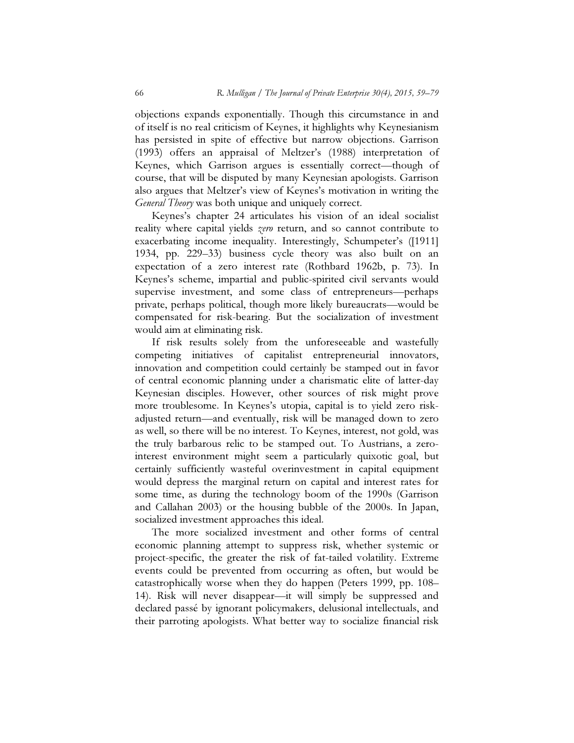objections expands exponentially. Though this circumstance in and of itself is no real criticism of Keynes, it highlights why Keynesianism has persisted in spite of effective but narrow objections. Garrison (1993) offers an appraisal of Meltzer's (1988) interpretation of Keynes, which Garrison argues is essentially correct—though of course, that will be disputed by many Keynesian apologists. Garrison also argues that Meltzer's view of Keynes's motivation in writing the General Theory was both unique and uniquely correct.

Keynes's chapter 24 articulates his vision of an ideal socialist reality where capital yields *zero* return, and so cannot contribute to exacerbating income inequality. Interestingly, Schumpeter's ([1911] 1934, pp. 229–33) business cycle theory was also built on an expectation of a zero interest rate (Rothbard 1962b, p. 73). In Keynes's scheme, impartial and public-spirited civil servants would supervise investment, and some class of entrepreneurs—perhaps private, perhaps political, though more likely bureaucrats—would be compensated for risk-bearing. But the socialization of investment would aim at eliminating risk.

If risk results solely from the unforeseeable and wastefully competing initiatives of capitalist entrepreneurial innovators, innovation and competition could certainly be stamped out in favor of central economic planning under a charismatic elite of latter-day Keynesian disciples. However, other sources of risk might prove more troublesome. In Keynes's utopia, capital is to yield zero riskadjusted return—and eventually, risk will be managed down to zero as well, so there will be no interest. To Keynes, interest, not gold, was the truly barbarous relic to be stamped out. To Austrians, a zerointerest environment might seem a particularly quixotic goal, but certainly sufficiently wasteful overinvestment in capital equipment would depress the marginal return on capital and interest rates for some time, as during the technology boom of the 1990s (Garrison and Callahan 2003) or the housing bubble of the 2000s. In Japan, socialized investment approaches this ideal.

The more socialized investment and other forms of central economic planning attempt to suppress risk, whether systemic or project-specific, the greater the risk of fat-tailed volatility. Extreme events could be prevented from occurring as often, but would be catastrophically worse when they do happen (Peters 1999, pp. 108– 14). Risk will never disappear—it will simply be suppressed and declared passé by ignorant policymakers, delusional intellectuals, and their parroting apologists. What better way to socialize financial risk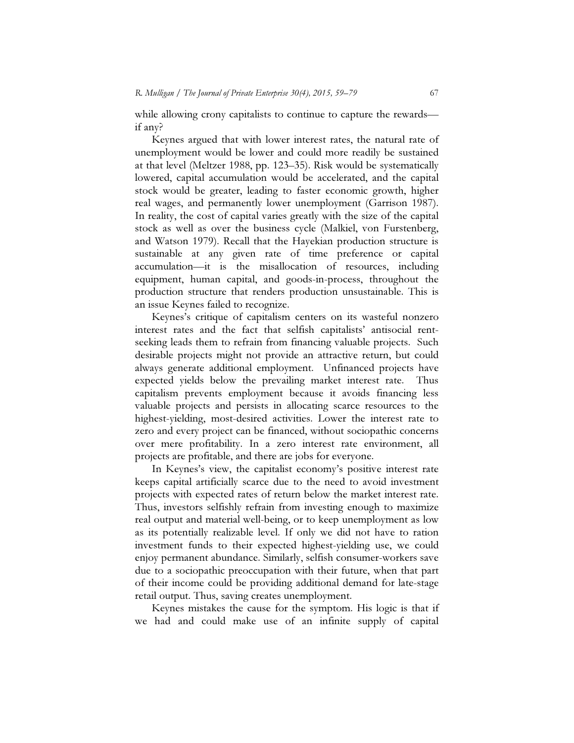while allowing crony capitalists to continue to capture the rewards if any?

Keynes argued that with lower interest rates, the natural rate of unemployment would be lower and could more readily be sustained at that level (Meltzer 1988, pp. 123–35). Risk would be systematically lowered, capital accumulation would be accelerated, and the capital stock would be greater, leading to faster economic growth, higher real wages, and permanently lower unemployment (Garrison 1987). In reality, the cost of capital varies greatly with the size of the capital stock as well as over the business cycle (Malkiel, von Furstenberg, and Watson 1979). Recall that the Hayekian production structure is sustainable at any given rate of time preference or capital accumulation—it is the misallocation of resources, including equipment, human capital, and goods-in-process, throughout the production structure that renders production unsustainable. This is an issue Keynes failed to recognize.

Keynes's critique of capitalism centers on its wasteful nonzero interest rates and the fact that selfish capitalists' antisocial rentseeking leads them to refrain from financing valuable projects. Such desirable projects might not provide an attractive return, but could always generate additional employment. Unfinanced projects have expected yields below the prevailing market interest rate. Thus capitalism prevents employment because it avoids financing less valuable projects and persists in allocating scarce resources to the highest-yielding, most-desired activities. Lower the interest rate to zero and every project can be financed, without sociopathic concerns over mere profitability. In a zero interest rate environment, all projects are profitable, and there are jobs for everyone.

In Keynes's view, the capitalist economy's positive interest rate keeps capital artificially scarce due to the need to avoid investment projects with expected rates of return below the market interest rate. Thus, investors selfishly refrain from investing enough to maximize real output and material well-being, or to keep unemployment as low as its potentially realizable level. If only we did not have to ration investment funds to their expected highest-yielding use, we could enjoy permanent abundance. Similarly, selfish consumer-workers save due to a sociopathic preoccupation with their future, when that part of their income could be providing additional demand for late-stage retail output. Thus, saving creates unemployment.

Keynes mistakes the cause for the symptom. His logic is that if we had and could make use of an infinite supply of capital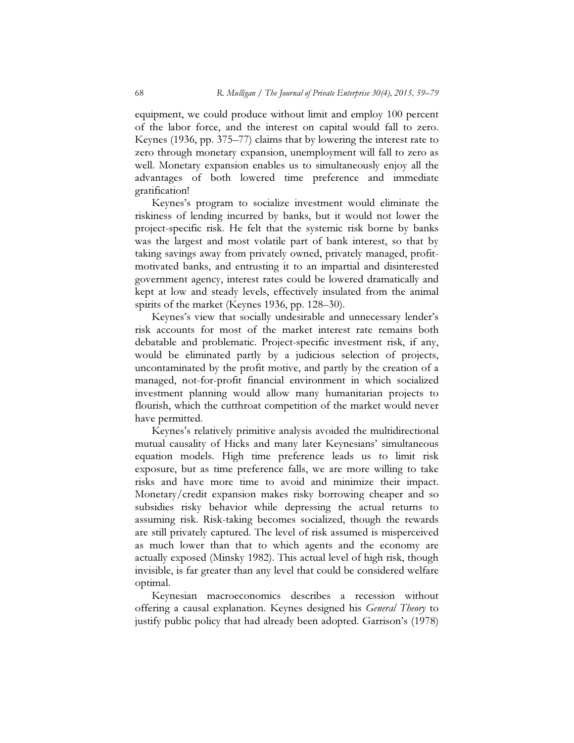equipment, we could produce without limit and employ 100 percent of the labor force, and the interest on capital would fall to zero. Keynes (1936, pp. 375–77) claims that by lowering the interest rate to zero through monetary expansion, unemployment will fall to zero as well. Monetary expansion enables us to simultaneously enjoy all the advantages of both lowered time preference and immediate gratification!

Keynes's program to socialize investment would eliminate the riskiness of lending incurred by banks, but it would not lower the project-specific risk. He felt that the systemic risk borne by banks was the largest and most volatile part of bank interest, so that by taking savings away from privately owned, privately managed, profitmotivated banks, and entrusting it to an impartial and disinterested government agency, interest rates could be lowered dramatically and kept at low and steady levels, effectively insulated from the animal spirits of the market (Keynes 1936, pp. 128–30).

Keynes's view that socially undesirable and unnecessary lender's risk accounts for most of the market interest rate remains both debatable and problematic. Project-specific investment risk, if any, would be eliminated partly by a judicious selection of projects, uncontaminated by the profit motive, and partly by the creation of a managed, not-for-profit financial environment in which socialized investment planning would allow many humanitarian projects to flourish, which the cutthroat competition of the market would never have permitted.

Keynes's relatively primitive analysis avoided the multidirectional mutual causality of Hicks and many later Keynesians' simultaneous equation models. High time preference leads us to limit risk exposure, but as time preference falls, we are more willing to take risks and have more time to avoid and minimize their impact. Monetary/credit expansion makes risky borrowing cheaper and so subsidies risky behavior while depressing the actual returns to assuming risk. Risk-taking becomes socialized, though the rewards are still privately captured. The level of risk assumed is misperceived as much lower than that to which agents and the economy are actually exposed (Minsky 1982). This actual level of high risk, though invisible, is far greater than any level that could be considered welfare optimal.

Keynesian macroeconomics describes a recession without offering a causal explanation. Keynes designed his General Theory to justify public policy that had already been adopted. Garrison's (1978)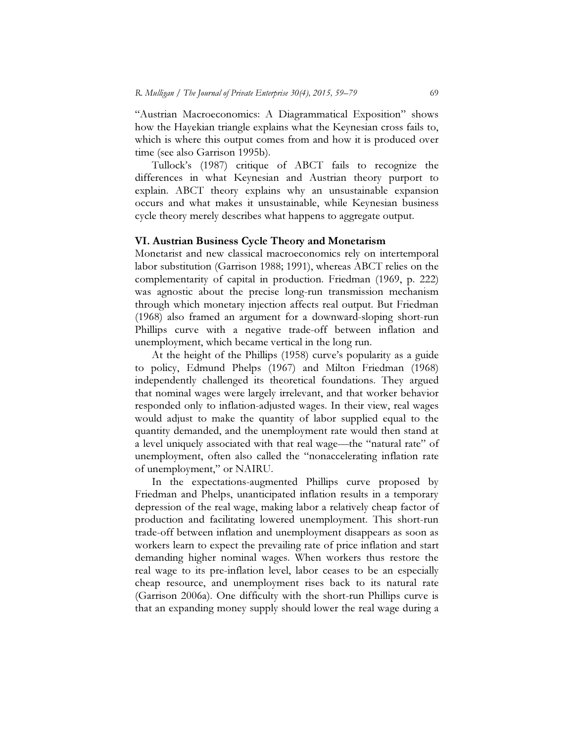"Austrian Macroeconomics: A Diagrammatical Exposition" shows how the Hayekian triangle explains what the Keynesian cross fails to, which is where this output comes from and how it is produced over time (see also Garrison 1995b).

Tullock's (1987) critique of ABCT fails to recognize the differences in what Keynesian and Austrian theory purport to explain. ABCT theory explains why an unsustainable expansion occurs and what makes it unsustainable, while Keynesian business cycle theory merely describes what happens to aggregate output.

#### VI. Austrian Business Cycle Theory and Monetarism

Monetarist and new classical macroeconomics rely on intertemporal labor substitution (Garrison 1988; 1991), whereas ABCT relies on the complementarity of capital in production. Friedman (1969, p. 222) was agnostic about the precise long-run transmission mechanism through which monetary injection affects real output. But Friedman (1968) also framed an argument for a downward-sloping short-run Phillips curve with a negative trade-off between inflation and unemployment, which became vertical in the long run.

At the height of the Phillips (1958) curve's popularity as a guide to policy, Edmund Phelps (1967) and Milton Friedman (1968) independently challenged its theoretical foundations. They argued that nominal wages were largely irrelevant, and that worker behavior responded only to inflation-adjusted wages. In their view, real wages would adjust to make the quantity of labor supplied equal to the quantity demanded, and the unemployment rate would then stand at a level uniquely associated with that real wage—the "natural rate" of unemployment, often also called the "nonaccelerating inflation rate of unemployment," or NAIRU.

In the expectations-augmented Phillips curve proposed by Friedman and Phelps, unanticipated inflation results in a temporary depression of the real wage, making labor a relatively cheap factor of production and facilitating lowered unemployment. This short-run trade-off between inflation and unemployment disappears as soon as workers learn to expect the prevailing rate of price inflation and start demanding higher nominal wages. When workers thus restore the real wage to its pre-inflation level, labor ceases to be an especially cheap resource, and unemployment rises back to its natural rate (Garrison 2006a). One difficulty with the short-run Phillips curve is that an expanding money supply should lower the real wage during a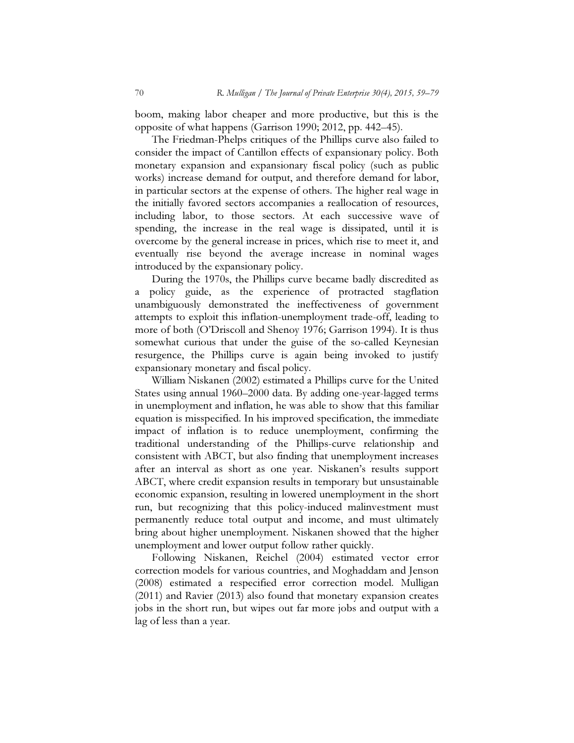boom, making labor cheaper and more productive, but this is the opposite of what happens (Garrison 1990; 2012, pp. 442–45).

The Friedman-Phelps critiques of the Phillips curve also failed to consider the impact of Cantillon effects of expansionary policy. Both monetary expansion and expansionary fiscal policy (such as public works) increase demand for output, and therefore demand for labor, in particular sectors at the expense of others. The higher real wage in the initially favored sectors accompanies a reallocation of resources, including labor, to those sectors. At each successive wave of spending, the increase in the real wage is dissipated, until it is overcome by the general increase in prices, which rise to meet it, and eventually rise beyond the average increase in nominal wages introduced by the expansionary policy.

During the 1970s, the Phillips curve became badly discredited as a policy guide, as the experience of protracted stagflation unambiguously demonstrated the ineffectiveness of government attempts to exploit this inflation-unemployment trade-off, leading to more of both (O'Driscoll and Shenoy 1976; Garrison 1994). It is thus somewhat curious that under the guise of the so-called Keynesian resurgence, the Phillips curve is again being invoked to justify expansionary monetary and fiscal policy.

William Niskanen (2002) estimated a Phillips curve for the United States using annual 1960–2000 data. By adding one-year-lagged terms in unemployment and inflation, he was able to show that this familiar equation is misspecified. In his improved specification, the immediate impact of inflation is to reduce unemployment, confirming the traditional understanding of the Phillips-curve relationship and consistent with ABCT, but also finding that unemployment increases after an interval as short as one year. Niskanen's results support ABCT, where credit expansion results in temporary but unsustainable economic expansion, resulting in lowered unemployment in the short run, but recognizing that this policy-induced malinvestment must permanently reduce total output and income, and must ultimately bring about higher unemployment. Niskanen showed that the higher unemployment and lower output follow rather quickly.

Following Niskanen, Reichel (2004) estimated vector error correction models for various countries, and Moghaddam and Jenson (2008) estimated a respecified error correction model. Mulligan (2011) and Ravier (2013) also found that monetary expansion creates jobs in the short run, but wipes out far more jobs and output with a lag of less than a year.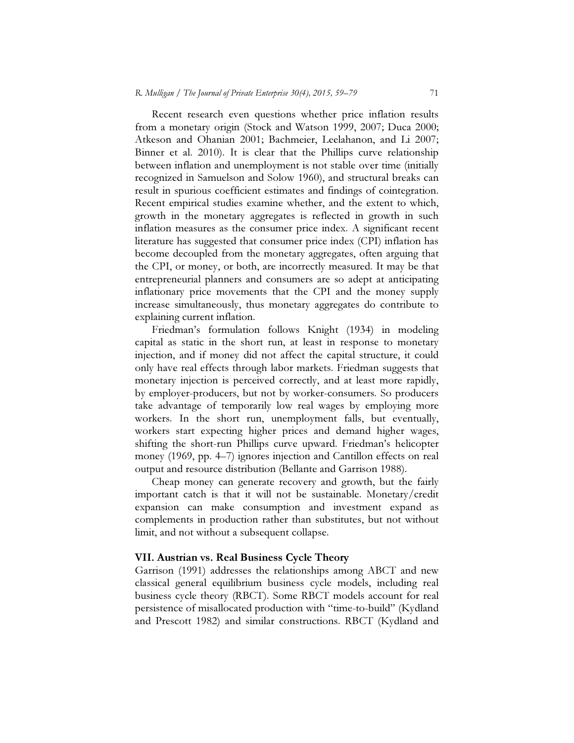Recent research even questions whether price inflation results from a monetary origin (Stock and Watson 1999, 2007; Duca 2000; Atkeson and Ohanian 2001; Bachmeier, Leelahanon, and Li 2007; Binner et al. 2010). It is clear that the Phillips curve relationship between inflation and unemployment is not stable over time (initially recognized in Samuelson and Solow 1960), and structural breaks can result in spurious coefficient estimates and findings of cointegration. Recent empirical studies examine whether, and the extent to which, growth in the monetary aggregates is reflected in growth in such inflation measures as the consumer price index. A significant recent literature has suggested that consumer price index (CPI) inflation has become decoupled from the monetary aggregates, often arguing that the CPI, or money, or both, are incorrectly measured. It may be that entrepreneurial planners and consumers are so adept at anticipating inflationary price movements that the CPI and the money supply increase simultaneously, thus monetary aggregates do contribute to explaining current inflation.

Friedman's formulation follows Knight (1934) in modeling capital as static in the short run, at least in response to monetary injection, and if money did not affect the capital structure, it could only have real effects through labor markets. Friedman suggests that monetary injection is perceived correctly, and at least more rapidly, by employer-producers, but not by worker-consumers. So producers take advantage of temporarily low real wages by employing more workers. In the short run, unemployment falls, but eventually, workers start expecting higher prices and demand higher wages, shifting the short-run Phillips curve upward. Friedman's helicopter money (1969, pp. 4–7) ignores injection and Cantillon effects on real output and resource distribution (Bellante and Garrison 1988).

Cheap money can generate recovery and growth, but the fairly important catch is that it will not be sustainable. Monetary/credit expansion can make consumption and investment expand as complements in production rather than substitutes, but not without limit, and not without a subsequent collapse.

#### VII. Austrian vs. Real Business Cycle Theory

Garrison (1991) addresses the relationships among ABCT and new classical general equilibrium business cycle models, including real business cycle theory (RBCT). Some RBCT models account for real persistence of misallocated production with "time-to-build" (Kydland and Prescott 1982) and similar constructions. RBCT (Kydland and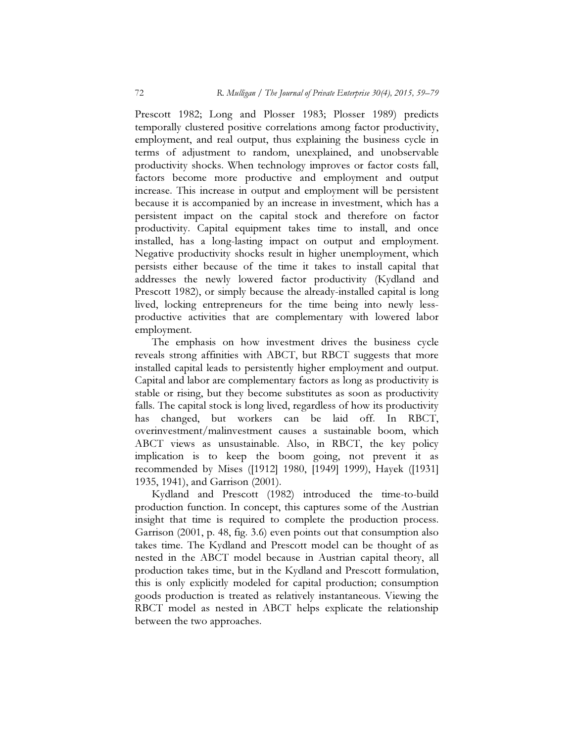Prescott 1982; Long and Plosser 1983; Plosser 1989) predicts temporally clustered positive correlations among factor productivity, employment, and real output, thus explaining the business cycle in terms of adjustment to random, unexplained, and unobservable productivity shocks. When technology improves or factor costs fall, factors become more productive and employment and output increase. This increase in output and employment will be persistent because it is accompanied by an increase in investment, which has a persistent impact on the capital stock and therefore on factor productivity. Capital equipment takes time to install, and once installed, has a long-lasting impact on output and employment. Negative productivity shocks result in higher unemployment, which persists either because of the time it takes to install capital that addresses the newly lowered factor productivity (Kydland and Prescott 1982), or simply because the already-installed capital is long lived, locking entrepreneurs for the time being into newly lessproductive activities that are complementary with lowered labor employment.

The emphasis on how investment drives the business cycle reveals strong affinities with ABCT, but RBCT suggests that more installed capital leads to persistently higher employment and output. Capital and labor are complementary factors as long as productivity is stable or rising, but they become substitutes as soon as productivity falls. The capital stock is long lived, regardless of how its productivity has changed, but workers can be laid off. In RBCT, overinvestment/malinvestment causes a sustainable boom, which ABCT views as unsustainable. Also, in RBCT, the key policy implication is to keep the boom going, not prevent it as recommended by Mises ([1912] 1980, [1949] 1999), Hayek ([1931] 1935, 1941), and Garrison (2001).

Kydland and Prescott (1982) introduced the time-to-build production function. In concept, this captures some of the Austrian insight that time is required to complete the production process. Garrison (2001, p. 48, fig. 3.6) even points out that consumption also takes time. The Kydland and Prescott model can be thought of as nested in the ABCT model because in Austrian capital theory, all production takes time, but in the Kydland and Prescott formulation, this is only explicitly modeled for capital production; consumption goods production is treated as relatively instantaneous. Viewing the RBCT model as nested in ABCT helps explicate the relationship between the two approaches.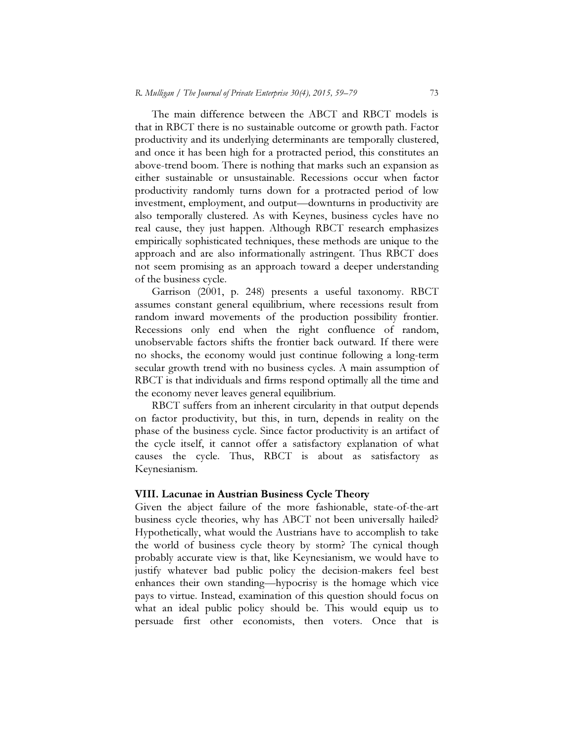The main difference between the ABCT and RBCT models is that in RBCT there is no sustainable outcome or growth path. Factor productivity and its underlying determinants are temporally clustered, and once it has been high for a protracted period, this constitutes an above-trend boom. There is nothing that marks such an expansion as either sustainable or unsustainable. Recessions occur when factor productivity randomly turns down for a protracted period of low investment, employment, and output—downturns in productivity are also temporally clustered. As with Keynes, business cycles have no real cause, they just happen. Although RBCT research emphasizes empirically sophisticated techniques, these methods are unique to the approach and are also informationally astringent. Thus RBCT does not seem promising as an approach toward a deeper understanding of the business cycle.

Garrison (2001, p. 248) presents a useful taxonomy. RBCT assumes constant general equilibrium, where recessions result from random inward movements of the production possibility frontier. Recessions only end when the right confluence of random, unobservable factors shifts the frontier back outward. If there were no shocks, the economy would just continue following a long-term secular growth trend with no business cycles. A main assumption of RBCT is that individuals and firms respond optimally all the time and the economy never leaves general equilibrium.

RBCT suffers from an inherent circularity in that output depends on factor productivity, but this, in turn, depends in reality on the phase of the business cycle. Since factor productivity is an artifact of the cycle itself, it cannot offer a satisfactory explanation of what causes the cycle. Thus, RBCT is about as satisfactory as Keynesianism.

#### VIII. Lacunae in Austrian Business Cycle Theory

Given the abject failure of the more fashionable, state-of-the-art business cycle theories, why has ABCT not been universally hailed? Hypothetically, what would the Austrians have to accomplish to take the world of business cycle theory by storm? The cynical though probably accurate view is that, like Keynesianism, we would have to justify whatever bad public policy the decision-makers feel best enhances their own standing—hypocrisy is the homage which vice pays to virtue. Instead, examination of this question should focus on what an ideal public policy should be. This would equip us to persuade first other economists, then voters. Once that is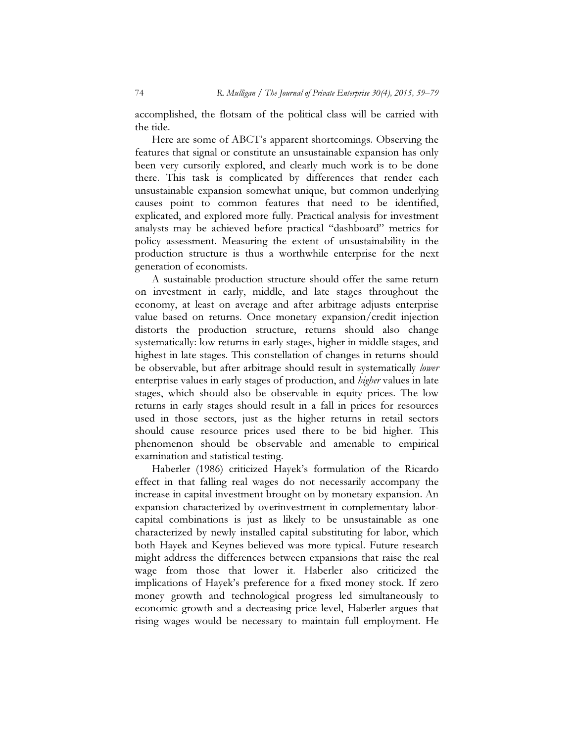accomplished, the flotsam of the political class will be carried with the tide.

Here are some of ABCT's apparent shortcomings. Observing the features that signal or constitute an unsustainable expansion has only been very cursorily explored, and clearly much work is to be done there. This task is complicated by differences that render each unsustainable expansion somewhat unique, but common underlying causes point to common features that need to be identified, explicated, and explored more fully. Practical analysis for investment analysts may be achieved before practical "dashboard" metrics for policy assessment. Measuring the extent of unsustainability in the production structure is thus a worthwhile enterprise for the next generation of economists.

A sustainable production structure should offer the same return on investment in early, middle, and late stages throughout the economy, at least on average and after arbitrage adjusts enterprise value based on returns. Once monetary expansion/credit injection distorts the production structure, returns should also change systematically: low returns in early stages, higher in middle stages, and highest in late stages. This constellation of changes in returns should be observable, but after arbitrage should result in systematically lower enterprise values in early stages of production, and higher values in late stages, which should also be observable in equity prices. The low returns in early stages should result in a fall in prices for resources used in those sectors, just as the higher returns in retail sectors should cause resource prices used there to be bid higher. This phenomenon should be observable and amenable to empirical examination and statistical testing.

Haberler (1986) criticized Hayek's formulation of the Ricardo effect in that falling real wages do not necessarily accompany the increase in capital investment brought on by monetary expansion. An expansion characterized by overinvestment in complementary laborcapital combinations is just as likely to be unsustainable as one characterized by newly installed capital substituting for labor, which both Hayek and Keynes believed was more typical. Future research might address the differences between expansions that raise the real wage from those that lower it. Haberler also criticized the implications of Hayek's preference for a fixed money stock. If zero money growth and technological progress led simultaneously to economic growth and a decreasing price level, Haberler argues that rising wages would be necessary to maintain full employment. He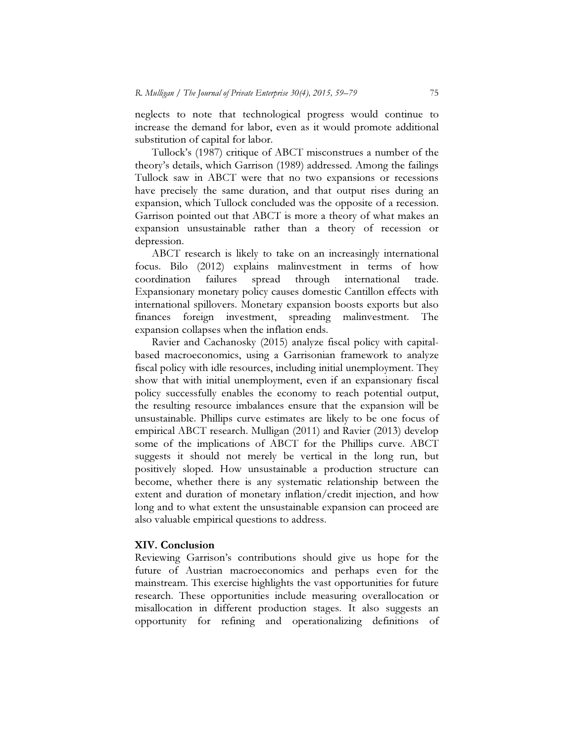neglects to note that technological progress would continue to increase the demand for labor, even as it would promote additional substitution of capital for labor.

Tullock's (1987) critique of ABCT misconstrues a number of the theory's details, which Garrison (1989) addressed. Among the failings Tullock saw in ABCT were that no two expansions or recessions have precisely the same duration, and that output rises during an expansion, which Tullock concluded was the opposite of a recession. Garrison pointed out that ABCT is more a theory of what makes an expansion unsustainable rather than a theory of recession or depression.

ABCT research is likely to take on an increasingly international focus. Bilo (2012) explains malinvestment in terms of how coordination failures spread through international trade. Expansionary monetary policy causes domestic Cantillon effects with international spillovers. Monetary expansion boosts exports but also finances foreign investment, spreading malinvestment. The expansion collapses when the inflation ends.

Ravier and Cachanosky (2015) analyze fiscal policy with capitalbased macroeconomics, using a Garrisonian framework to analyze fiscal policy with idle resources, including initial unemployment. They show that with initial unemployment, even if an expansionary fiscal policy successfully enables the economy to reach potential output, the resulting resource imbalances ensure that the expansion will be unsustainable. Phillips curve estimates are likely to be one focus of empirical ABCT research. Mulligan (2011) and Ravier (2013) develop some of the implications of ABCT for the Phillips curve. ABCT suggests it should not merely be vertical in the long run, but positively sloped. How unsustainable a production structure can become, whether there is any systematic relationship between the extent and duration of monetary inflation/credit injection, and how long and to what extent the unsustainable expansion can proceed are also valuable empirical questions to address.

#### XIV. Conclusion

Reviewing Garrison's contributions should give us hope for the future of Austrian macroeconomics and perhaps even for the mainstream. This exercise highlights the vast opportunities for future research. These opportunities include measuring overallocation or misallocation in different production stages. It also suggests an opportunity for refining and operationalizing definitions of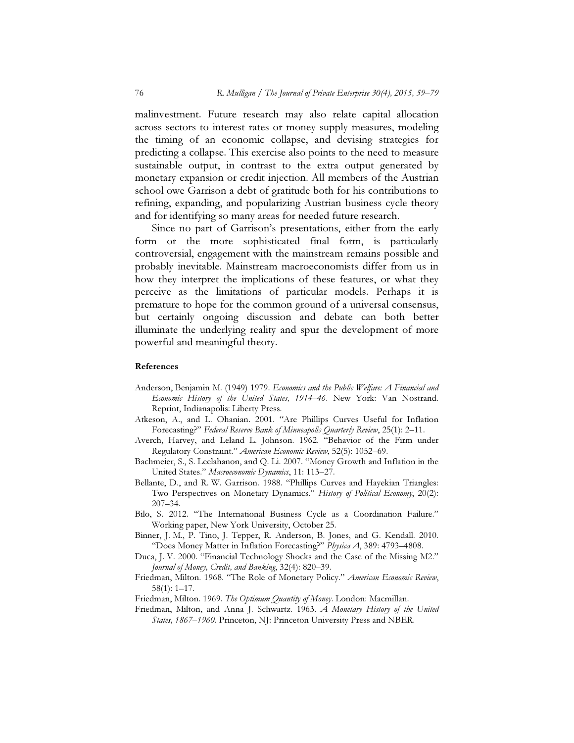malinvestment. Future research may also relate capital allocation across sectors to interest rates or money supply measures, modeling the timing of an economic collapse, and devising strategies for predicting a collapse. This exercise also points to the need to measure sustainable output, in contrast to the extra output generated by monetary expansion or credit injection. All members of the Austrian school owe Garrison a debt of gratitude both for his contributions to refining, expanding, and popularizing Austrian business cycle theory and for identifying so many areas for needed future research.

Since no part of Garrison's presentations, either from the early form or the more sophisticated final form, is particularly controversial, engagement with the mainstream remains possible and probably inevitable. Mainstream macroeconomists differ from us in how they interpret the implications of these features, or what they perceive as the limitations of particular models. Perhaps it is premature to hope for the common ground of a universal consensus, but certainly ongoing discussion and debate can both better illuminate the underlying reality and spur the development of more powerful and meaningful theory.

#### References

- Anderson, Benjamin M. (1949) 1979. Economics and the Public Welfare: A Financial and Economic History of the United States, 1914–46. New York: Van Nostrand. Reprint, Indianapolis: Liberty Press.
- Atkeson, A., and L. Ohanian. 2001. "Are Phillips Curves Useful for Inflation Forecasting?" Federal Reserve Bank of Minneapolis Quarterly Review, 25(1): 2–11.
- Averch, Harvey, and Leland L. Johnson. 1962. "Behavior of the Firm under Regulatory Constraint." American Economic Review, 52(5): 1052-69.
- Bachmeier, S., S. Leelahanon, and Q. Li. 2007. "Money Growth and Inflation in the United States." Macroeconomic Dynamics, 11: 113–27.
- Bellante, D., and R. W. Garrison. 1988. "Phillips Curves and Hayekian Triangles: Two Perspectives on Monetary Dynamics." History of Political Economy, 20(2): 207–34.
- Bilo, S. 2012. "The International Business Cycle as a Coordination Failure." Working paper, New York University, October 25.
- Binner, J. M., P. Tino, J. Tepper, R. Anderson, B. Jones, and G. Kendall. 2010. "Does Money Matter in Inflation Forecasting?" Physica A, 389: 4793-4808.
- Duca, J. V. 2000. "Financial Technology Shocks and the Case of the Missing M2." Journal of Money, Credit, and Banking, 32(4): 820–39.
- Friedman, Milton. 1968. "The Role of Monetary Policy." American Economic Review, 58(1): 1–17.
- Friedman, Milton. 1969. The Optimum Quantity of Money. London: Macmillan.
- Friedman, Milton, and Anna J. Schwartz. 1963. A Monetary History of the United States, 1867-1960. Princeton, NJ: Princeton University Press and NBER.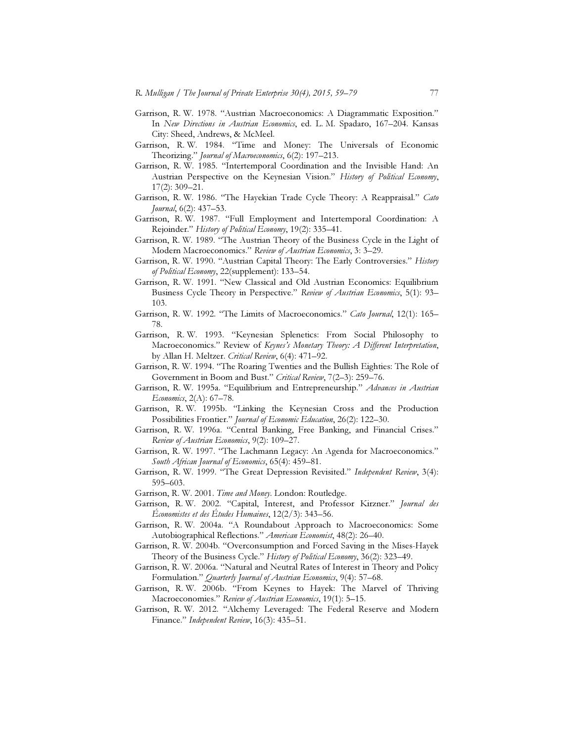- Garrison, R. W. 1978. "Austrian Macroeconomics: A Diagrammatic Exposition." In New Directions in Austrian Economics, ed. L. M. Spadaro, 167-204. Kansas City: Sheed, Andrews, & McMeel.
- Garrison, R. W. 1984. "Time and Money: The Universals of Economic Theorizing." Journal of Macroeconomics, 6(2): 197-213.
- Garrison, R. W. 1985. "Intertemporal Coordination and the Invisible Hand: An Austrian Perspective on the Keynesian Vision." History of Political Economy, 17(2): 309–21.
- Garrison, R. W. 1986. "The Hayekian Trade Cycle Theory: A Reappraisal." Cato Journal, 6(2): 437–53.
- Garrison, R. W. 1987. "Full Employment and Intertemporal Coordination: A Rejoinder." History of Political Economy, 19(2): 335-41.
- Garrison, R. W. 1989. "The Austrian Theory of the Business Cycle in the Light of Modern Macroeconomics." Review of Austrian Economics, 3: 3–29.
- Garrison, R. W. 1990. "Austrian Capital Theory: The Early Controversies." History of Political Economy, 22(supplement): 133–54.
- Garrison, R. W. 1991. "New Classical and Old Austrian Economics: Equilibrium Business Cycle Theory in Perspective." Review of Austrian Economics, 5(1): 93-103.
- Garrison, R. W. 1992. "The Limits of Macroeconomics." Cato Journal, 12(1): 165– 78.
- Garrison, R. W. 1993. "Keynesian Splenetics: From Social Philosophy to Macroeconomics." Review of Keynes's Monetary Theory: A Different Interpretation, by Allan H. Meltzer. Critical Review, 6(4): 471-92.
- Garrison, R. W. 1994. "The Roaring Twenties and the Bullish Eighties: The Role of Government in Boom and Bust." Critical Review, 7(2–3): 259–76.
- Garrison, R. W. 1995a. "Equilibrium and Entrepreneurship." Advances in Austrian Economics, 2(A): 67–78.
- Garrison, R. W. 1995b. "Linking the Keynesian Cross and the Production Possibilities Frontier." Journal of Economic Education, 26(2): 122-30.
- Garrison, R. W. 1996a. "Central Banking, Free Banking, and Financial Crises." Review of Austrian Economics, 9(2): 109–27.
- Garrison, R. W. 1997. "The Lachmann Legacy: An Agenda for Macroeconomics." South African Journal of Economics, 65(4): 459–81.
- Garrison, R. W. 1999. "The Great Depression Revisited." Independent Review, 3(4): 595–603.
- Garrison, R. W. 2001. Time and Money. London: Routledge.
- Garrison, R. W. 2002. "Capital, Interest, and Professor Kirzner." Journal des Économistes et des Études Humaines, 12(2/3): 343–56.
- Garrison, R. W. 2004a. "A Roundabout Approach to Macroeconomics: Some Autobiographical Reflections." American Economist, 48(2): 26-40.
- Garrison, R. W. 2004b. "Overconsumption and Forced Saving in the Mises-Hayek Theory of the Business Cycle." History of Political Economy, 36(2): 323-49.
- Garrison, R. W. 2006a. "Natural and Neutral Rates of Interest in Theory and Policy Formulation." Quarterly Journal of Austrian Economics, 9(4): 57–68.
- Garrison, R. W. 2006b. "From Keynes to Hayek: The Marvel of Thriving Macroeconomies." Review of Austrian Economics, 19(1): 5-15.
- Garrison, R. W. 2012. "Alchemy Leveraged: The Federal Reserve and Modern Finance." Independent Review, 16(3): 435–51.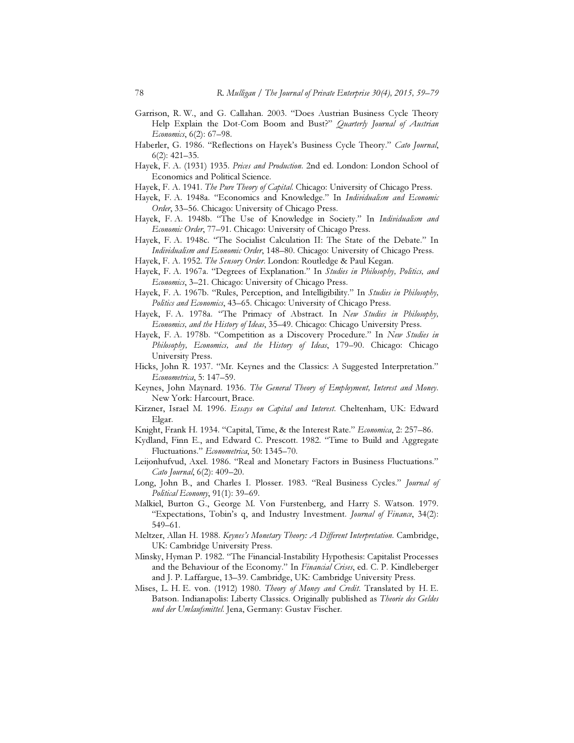- Garrison, R. W., and G. Callahan. 2003. "Does Austrian Business Cycle Theory Help Explain the Dot-Com Boom and Bust?" Quarterly Journal of Austrian Economics, 6(2): 67–98.
- Haberler, G. 1986. "Reflections on Hayek's Business Cycle Theory." Cato Journal, 6(2): 421–35.
- Hayek, F. A. (1931) 1935. Prices and Production. 2nd ed. London: London School of Economics and Political Science.
- Hayek, F. A. 1941. The Pure Theory of Capital. Chicago: University of Chicago Press.
- Hayek, F. A. 1948a. "Economics and Knowledge." In Individualism and Economic Order, 33-56. Chicago: University of Chicago Press.
- Hayek, F. A. 1948b. "The Use of Knowledge in Society." In Individualism and Economic Order, 77–91. Chicago: University of Chicago Press.
- Hayek, F. A. 1948c. "The Socialist Calculation II: The State of the Debate." In Individualism and Economic Order, 148–80. Chicago: University of Chicago Press.
- Hayek, F. A. 1952. The Sensory Order. London: Routledge & Paul Kegan.
- Hayek, F. A. 1967a. "Degrees of Explanation." In Studies in Philosophy, Politics, and Economics, 3–21. Chicago: University of Chicago Press.
- Hayek, F. A. 1967b. "Rules, Perception, and Intelligibility." In Studies in Philosophy, Politics and Economics, 43–65. Chicago: University of Chicago Press.
- Hayek, F. A. 1978a. "The Primacy of Abstract. In New Studies in Philosophy, Economics, and the History of Ideas, 35–49. Chicago: Chicago University Press.
- Hayek, F. A. 1978b. "Competition as a Discovery Procedure." In New Studies in Philosophy, Economics, and the History of Ideas, 179-90. Chicago: Chicago University Press.
- Hicks, John R. 1937. "Mr. Keynes and the Classics: A Suggested Interpretation." Econometrica, 5: 147–59.
- Keynes, John Maynard. 1936. The General Theory of Employment, Interest and Money. New York: Harcourt, Brace.
- Kirzner, Israel M. 1996. Essays on Capital and Interest. Cheltenham, UK: Edward Elgar.
- Knight, Frank H. 1934. "Capital, Time, & the Interest Rate." Economica, 2: 257-86.
- Kydland, Finn E., and Edward C. Prescott. 1982. "Time to Build and Aggregate Fluctuations." Econometrica, 50: 1345–70.
- Leijonhufvud, Axel. 1986. "Real and Monetary Factors in Business Fluctuations." Cato Journal, 6(2): 409–20.
- Long, John B., and Charles I. Plosser. 1983. "Real Business Cycles." Journal of Political Economy, 91(1): 39–69.
- Malkiel, Burton G., George M. Von Furstenberg, and Harry S. Watson. 1979. "Expectations, Tobin's q, and Industry Investment. Journal of Finance, 34(2): 549–61.
- Meltzer, Allan H. 1988. Keynes's Monetary Theory: A Different Interpretation. Cambridge, UK: Cambridge University Press.
- Minsky, Hyman P. 1982. "The Financial-Instability Hypothesis: Capitalist Processes and the Behaviour of the Economy." In Financial Crises, ed. C. P. Kindleberger and J. P. Laffargue, 13–39. Cambridge, UK: Cambridge University Press.
- Mises, L. H. E. von. (1912) 1980. Theory of Money and Credit. Translated by H. E. Batson. Indianapolis: Liberty Classics. Originally published as Theorie des Geldes und der Umlaufsmittel. Jena, Germany: Gustav Fischer.